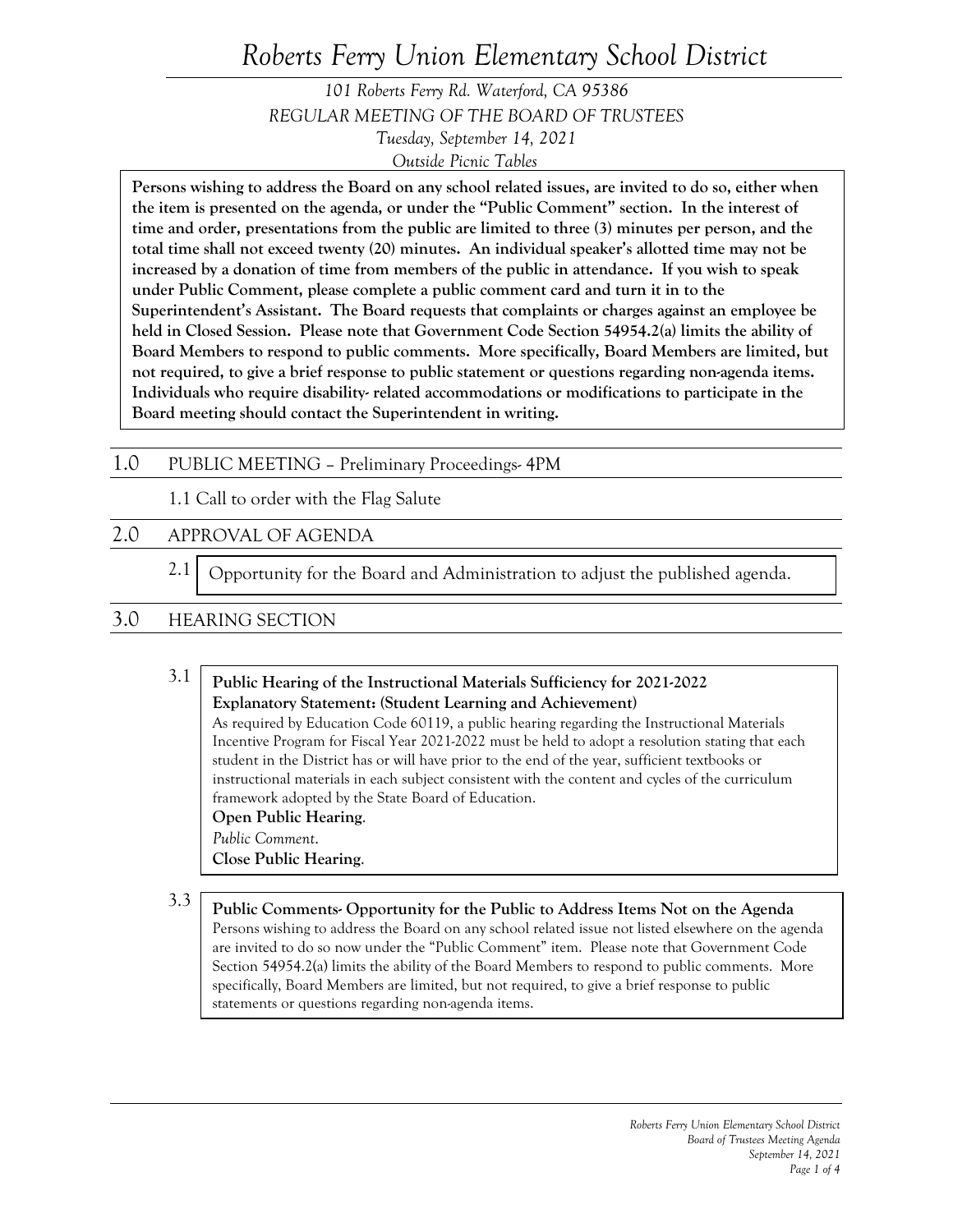# *Roberts Ferry Union Elementary School District*

*101 Roberts Ferry Rd. Waterford, CA 95386 REGULAR MEETING OF THE BOARD OF TRUSTEES Tuesday, September 14, 2021 Outside Picnic Tables*

**Persons wishing to address the Board on any school related issues, are invited to do so, either when the item is presented on the agenda, or under the "Public Comment" section. In the interest of time and order, presentations from the public are limited to three (3) minutes per person, and the total time shall not exceed twenty (20) minutes. An individual speaker's allotted time may not be increased by a donation of time from members of the public in attendance. If you wish to speak under Public Comment, please complete a public comment card and turn it in to the Superintendent's Assistant. The Board requests that complaints or charges against an employee be held in Closed Session. Please note that Government Code Section 54954.2(a) limits the ability of Board Members to respond to public comments. More specifically, Board Members are limited, but not required, to give a brief response to public statement or questions regarding non-agenda items. Individuals who require disability- related accommodations or modifications to participate in the Board meeting should contact the Superintendent in writing.**

## 1.0 PUBLIC MEETING – Preliminary Proceedings- 4PM

1.1 Call to order with the Flag Salute

## 2.0 APPROVAL OF AGENDA

2.1 Opportunity for the Board and Administration to adjust the published agenda.

# 3.0 HEARING SECTION

### 3.1 3.3 **Public Hearing of the Instructional Materials Sufficiency for 2021-2022 Explanatory Statement: (Student Learning and Achievement)** As required by Education Code 60119, a public hearing regarding the Instructional Materials Incentive Program for Fiscal Year 2021-2022 must be held to adopt a resolution stating that each student in the District has or will have prior to the end of the year, sufficient textbooks or instructional materials in each subject consistent with the content and cycles of the curriculum framework adopted by the State Board of Education. **Open Public Hearing**. *Public Comment*. **Close Public Hearing**.

**Public Comments- Opportunity for the Public to Address Items Not on the Agenda** Persons wishing to address the Board on any school related issue not listed elsewhere on the agenda are invited to do so now under the "Public Comment" item. Please note that Government Code Section 54954.2(a) limits the ability of the Board Members to respond to public comments. More specifically, Board Members are limited, but not required, to give a brief response to public statements or questions regarding non-agenda items.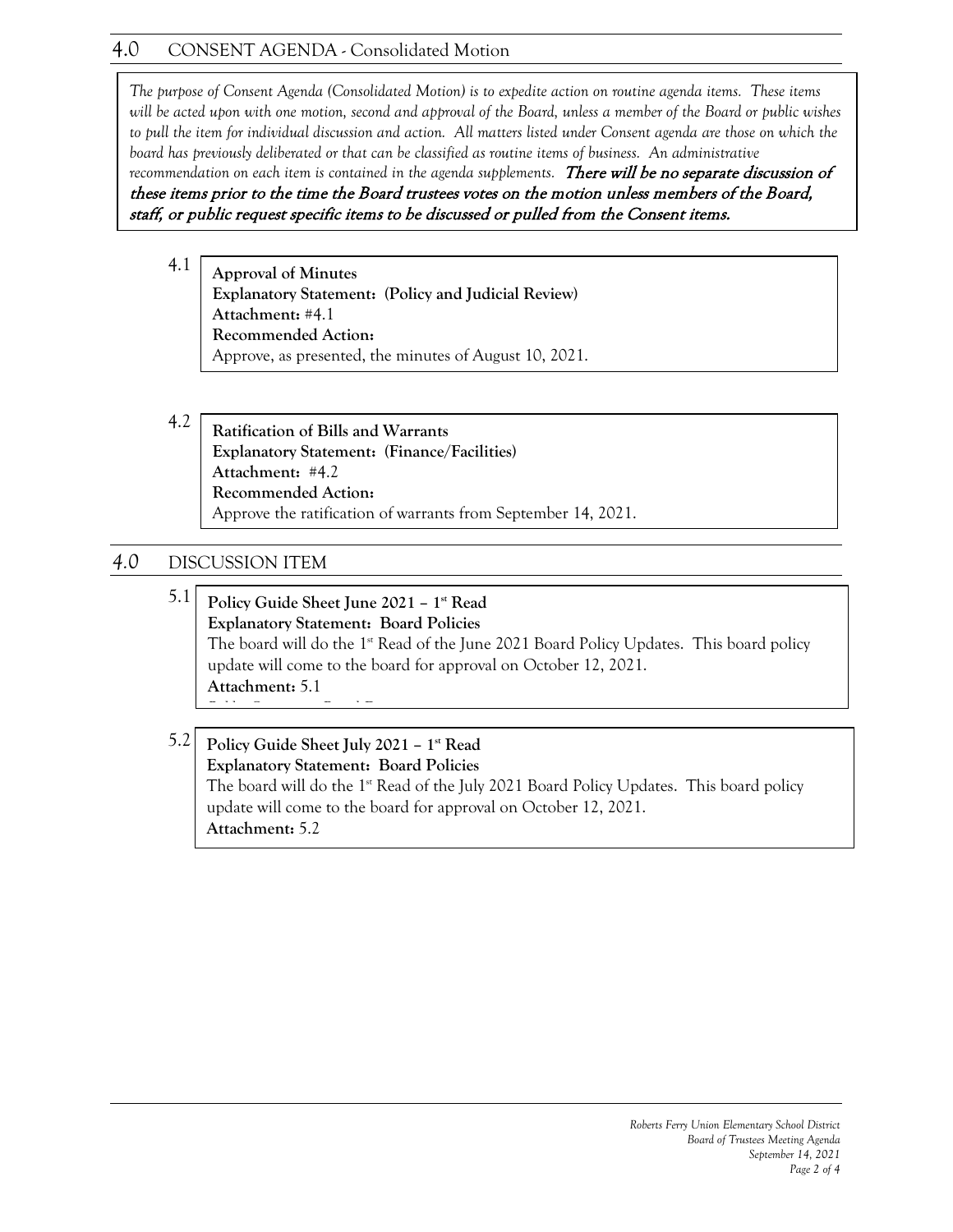# 4.0 CONSENT AGENDA - Consolidated Motion

4.1 *to pull the item for individual discussion and action. All matters listed under Consent agenda are those on which the The purpose of Consent Agenda (Consolidated Motion) is to expedite action on routine agenda items. These items will be acted upon with one motion, second and approval of the Board, unless a member of the Board or public wishes board has previously deliberated or that can be classified as routine items of business. An administrative* 

recommendation on each item is contained in the agenda supplements. There will be no separate discussion of these items prior to the time the Board trustees votes on the motion unless members of the Board, staff, or public request specific items to be discussed or pulled from the Consent items.

4.1 **Approval of Minutes Explanatory Statement: (Policy and Judicial Review) Attachment:** #4.1 **Recommended Action:** Approve, as presented, the minutes of August 10, 2021.

4.2 **Ratification of Bills and Warrants Explanatory Statement: (Finance/Facilities) Attachment:** #4.2 **Recommended Action:** Approve the ratification of warrants from September 14, 2021.

# *4.0* DISCUSSION ITEM

5.1 **Policy Guide Sheet June 2021 – 1st Read Explanatory Statement: Board Policies**  The board will do the 1st Read of the June 2021 Board Policy Updates. This board policy update will come to the board for approval on October 12, 2021. **Attachment:** 5.1 *P bl C B d D*

#### 5.2 **Policy Guide Sheet July 2021 – 1st Read Explanatory Statement: Board Policies**  The board will do the  $1<sup>st</sup>$  Read of the July 2021 Board Policy Updates. This board policy update will come to the board for approval on October 12, 2021. **Attachment:** 5.2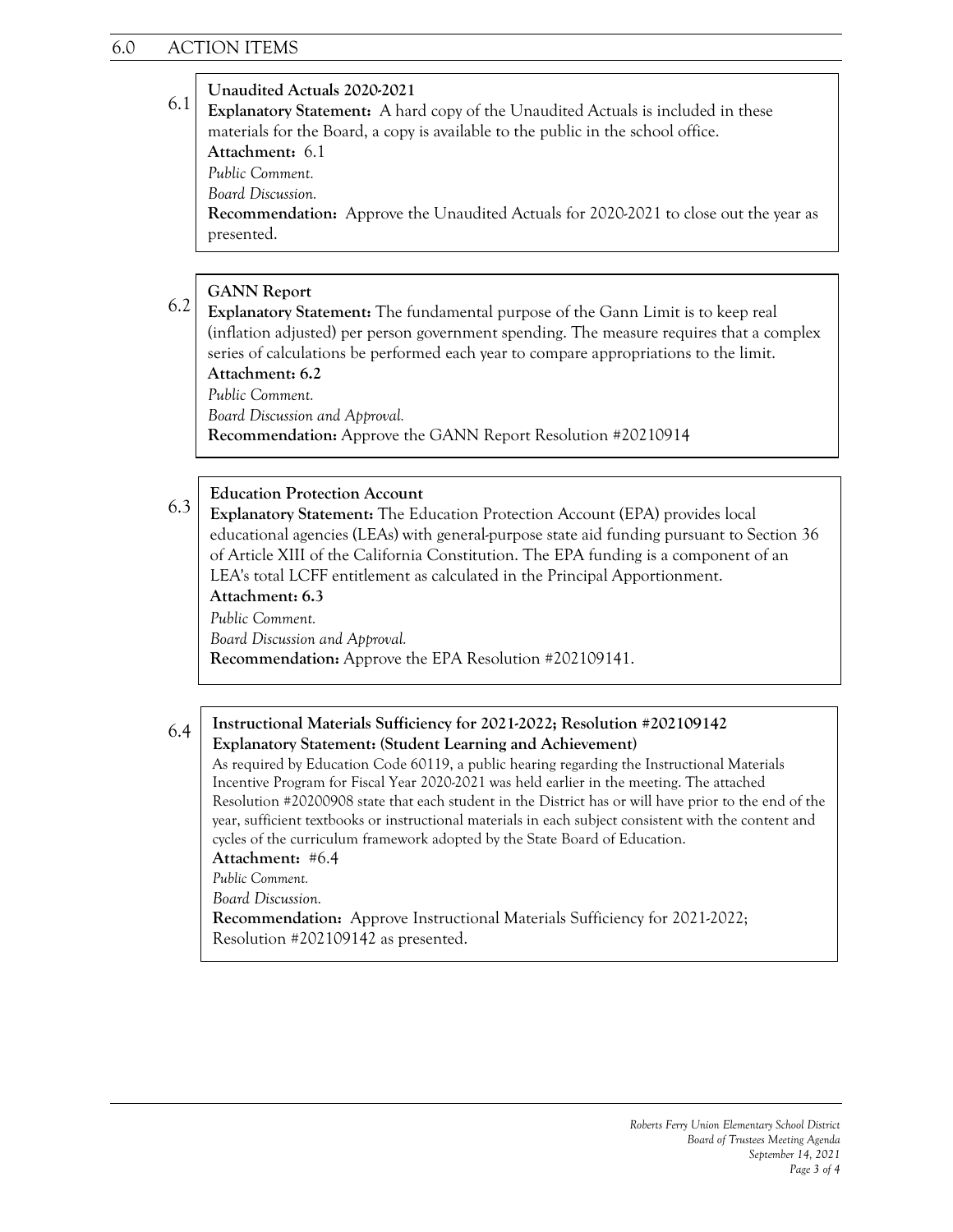### **Unaudited Actuals 2020-2021**

6.1 **Explanatory Statement:** A hard copy of the Unaudited Actuals is included in these materials for the Board, a copy is available to the public in the school office.

**Attachment:** 6.1

*Public Comment. Board Discussion.*

**Recommendation:** Approve the Unaudited Actuals for 2020-2021 to close out the year as presented.

### **GANN Report**

6.2 **Explanatory Statement:** The fundamental purpose of the Gann Limit is to keep real (inflation adjusted) per person government spending. The measure requires that a complex series of calculations be performed each year to compare appropriations to the limit. **Attachment: 6.2**

*Public Comment.*

*Board Discussion and Approval.*

**Recommendation:** Approve the GANN Report Resolution #20210914

#### 6.3 **Education Protection Account**

**Explanatory Statement:** The Education Protection Account (EPA) provides local educational agencies (LEAs) with general-purpose state aid funding pursuant to Section 36 of Article XIII of the California Constitution. The EPA funding is a component of an LEA's total LCFF entitlement as calculated in the Principal Apportionment. **Attachment: 6.3**

*Public Comment.*

*Board Discussion and Approval.*

**Recommendation:** Approve the EPA Resolution #202109141.

#### 6.4 **Instructional Materials Sufficiency for 2021-2022; Resolution #202109142 Explanatory Statement: (Student Learning and Achievement)**

As required by Education Code 60119, a public hearing regarding the Instructional Materials Incentive Program for Fiscal Year 2020-2021 was held earlier in the meeting. The attached Resolution #20200908 state that each student in the District has or will have prior to the end of the year, sufficient textbooks or instructional materials in each subject consistent with the content and cycles of the curriculum framework adopted by the State Board of Education.

#### **Attachment:** #6.4

*Public Comment.*

*Board Discussion.*

**Recommendation:** Approve Instructional Materials Sufficiency for 2021-2022; Resolution #202109142 as presented.